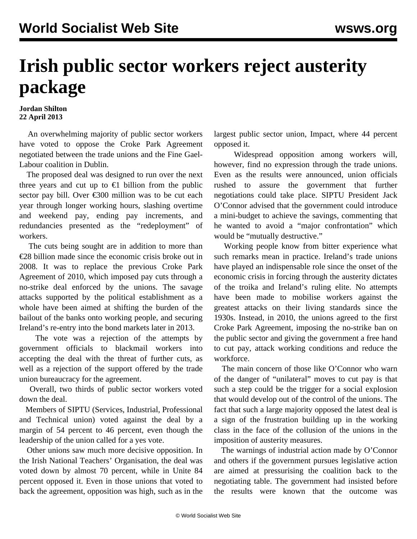## **Irish public sector workers reject austerity package**

## **Jordan Shilton 22 April 2013**

 An overwhelming majority of public sector workers have voted to oppose the Croke Park Agreement negotiated between the trade unions and the Fine Gael-Labour coalition in Dublin.

 The proposed deal was designed to run over the next three years and cut up to  $\epsilon$ 1 billion from the public sector pay bill. Over €300 million was to be cut each year through longer working hours, slashing overtime and weekend pay, ending pay increments, and redundancies presented as the "redeployment" of workers.

 The cuts being sought are in addition to more than €28 billion made since the economic crisis broke out in 2008. It was to replace the previous Croke Park Agreement of 2010, which imposed pay cuts through a no-strike deal enforced by the unions. The savage attacks supported by the political establishment as a whole have been aimed at shifting the burden of the bailout of the banks onto working people, and securing Ireland's re-entry into the bond markets later in 2013.

 The vote was a rejection of the attempts by government officials to blackmail workers into accepting the deal with the threat of further cuts, as well as a rejection of the support offered by the trade union bureaucracy for the agreement.

 Overall, two thirds of public sector workers voted down the deal.

 Members of SIPTU (Services, Industrial, Professional and Technical union) voted against the deal by a margin of 54 percent to 46 percent, even though the leadership of the union called for a yes vote.

 Other unions saw much more decisive opposition. In the Irish National Teachers' Organisation, the deal was voted down by almost 70 percent, while in Unite 84 percent opposed it. Even in those unions that voted to back the agreement, opposition was high, such as in the largest public sector union, Impact, where 44 percent opposed it.

 Widespread opposition among workers will, however, find no expression through the trade unions. Even as the results were announced, union officials rushed to assure the government that further negotiations could take place. SIPTU President Jack O'Connor advised that the government could introduce a mini-budget to achieve the savings, commenting that he wanted to avoid a "major confrontation" which would be "mutually destructive."

 Working people know from bitter experience what such remarks mean in practice. Ireland's trade unions have played an indispensable role since the onset of the economic crisis in forcing through the austerity dictates of the troika and Ireland's ruling elite. No attempts have been made to mobilise workers against the greatest attacks on their living standards since the 1930s. Instead, in 2010, the unions agreed to the first Croke Park Agreement, imposing the no-strike ban on the public sector and giving the government a free hand to cut pay, attack working conditions and reduce the workforce.

 The main concern of those like O'Connor who warn of the danger of "unilateral" moves to cut pay is that such a step could be the trigger for a social explosion that would develop out of the control of the unions. The fact that such a large majority opposed the latest deal is a sign of the frustration building up in the working class in the face of the collusion of the unions in the imposition of austerity measures.

 The warnings of industrial action made by O'Connor and others if the government pursues legislative action are aimed at pressurising the coalition back to the negotiating table. The government had insisted before the results were known that the outcome was